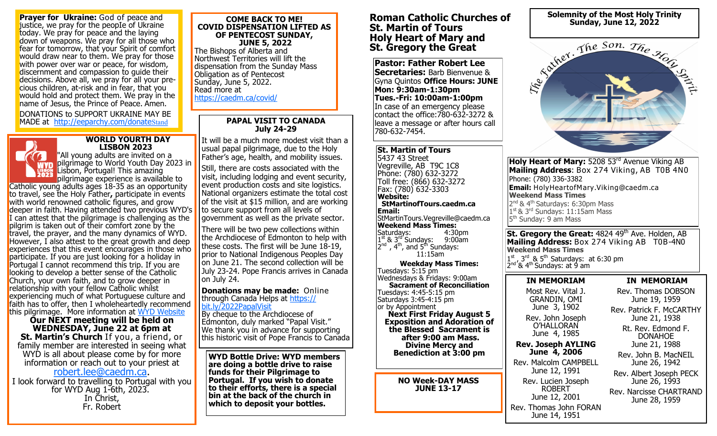**Prayer for Ukraine:** God of peace and justice, we pray for the реорІе of Ukraine today. We pray for peace and the laying down of weapons. We pray for all those who fear for tomorrow, that your Spirit of comfort would draw near to them. We pray for those with power over war or peace, for wisdom, discernment and compassion to quide their decisions. Above all, we pray for all your precious children, at-risk and in fear, that you would hold and protect them. We pray in the name of Jesus, the Prince of Реасе. Amen.

DONATIONS to SUPPORT UKRAINE MAY BE MADE at <http://eeparchy.com/donate>Stand



### **WORLD YOURTH DAY LISBON 2023**

"All young adults are invited on a pilgrimage to World Youth Day 2023 in Lisbon, Portugal! This amazing pilgrimage experience is available to

Catholic young adults ages 18-35 as an opportunity to travel, see the Holy Father**,** participate in events with world renowned catholic figures, and grow deeper in faith. Having attended two previous WYD's I can attest that the pilgrimage is challenging as the pilgrim is taken out of their comfort zone by the travel, the prayer, and the many dynamics of WYD. However, I also attest to the great growth and deep experiences that this event encourages in those who participate. If you are just looking for a holiday in Portugal I cannot recommend this trip. If you are looking to develop a better sense of the Catholic Church, your own faith, and to grow deeper in relationship with your fellow Catholic whilst experiencing much of what Portuguese culture and faith has to offer, then I wholeheartedly recommend this pilgrimage. More information at [WYD Website](https://worldyouthday.com/pilgrimages)

**Our NEXT meeting will be held on WEDNESDAY, June 22 at 6pm at St. Martin's Church** If you, a friend, or family member are interested in seeing what WYD is all about please come by for more information or reach out to your priest at

[robert.lee@caedm.ca.](mailto:robert.lee@caedm.ca) 

I look forward to travelling to Portugal with you for WYD Aug 1-6th, 2023. In Christ, Fr. Robert

#### **COME BACK TO ME! COVID DISPENSATION LIFTED AS OF PENTECOST SUNDAY, JUNE 5, 2022**

The Bishops of Alberta and Northwest Territories will lift the dispensation from the Sunday Mass Obligation as of Pentecost Sunday, June 5, 2022. Read more at <https://caedm.ca/covid/>

## **PAPAL VISIT TO CANADA July 24-29**

It will be a much more modest visit than a usual papal pilgrimage, due to the Holy Father's age, health, and mobility issues.

Still, there are costs associated with the visit, including lodging and event security, event production costs and site logistics. National organizers estimate the total cost of the visit at \$15 million, and are working to secure support from all levels of government as well as the private sector.

There will be two pew collections within the Archdiocese of Edmonton to help with these costs. The first will be June 18-19, prior to National Indigenous Peoples Day on June 21. The second collection will be July 23-24. Pope Francis arrives in Canada on July 24.

**Donations may be made: Online** through Canada Helps at [https://](https://bit.ly/2022PapalVisit) [bit.ly/2022PapalVisit](https://bit.ly/2022PapalVisit)

By cheque to the Archdiocese of Edmonton, duly marked "Papal Visit." We thank you in advance for supporting this historic visit of Pope Francis to Canada

**WYD Bottle Drive: WYD members are doing a bottle drive to raise funds for their Pilgrimage to Portugal. If you wish to donate to their efforts, there is a special bin at the back of the church in which to deposit your bottles.** 

# **Roman Catholic Churches of St. Martin of Tours Holy Heart of Mary and St. Gregory the Great**

**Pastor: Father Robert Lee Secretaries:** Barb Bienvenue & Gyna Quintos **Office Hours: JUNE Mon: 9:30am-1:30pm Tues.-Fri: 10:00am-1:00pm** In case of an emergency please contact the office:780-632-3272 & leave a message or after hours call 780-632-7454.

5437 43 Street Vegreville, AB T9C 1C8 Phone: (780) 632-3272 Toll free: (866) 632-3272 Fax: (780) 632-3303 **Website: StMartinofTours.caedm.ca Email:** StMartinTours.Vegreville@caedm.ca **Weekend Mass Times:**  Saturdays: 1<sup>st</sup> & 3<sup>rd</sup> Sundays: 9:00am  $2^{nd}$ ,  $4^{th}$ , and  $5^{th}$  Sundays: 11:15am

**St. Martin of Tours**

**Weekday Mass Times:**  Tuesdays:  $5:15$  pm Wednesdays & Fridays: 9:00am **Sacrament of Reconciliation**  Tuesdays: 4:45-5:15 pm Saturdays 3:45-4:15 pm or by Appointment **Next First Friday August 5 Exposition and Adoration of the Blessed Sacrament is after 9:00 am Mass. Divine Mercy and Benediction at 3:00 pm** 

> **NO Week-DAY MASS JUNE 13-17**

**Solemnity of the Most Holy Trinity Sunday, June 12, 2022**



**Holy Heart of Mary:** 5208 53<sup>rd</sup> Avenue Viking AB **Mailing Address**: Box 274 Viking, AB T0B 4N0 Phone: (780) 336-3382 **Email:** HolyHeartofMary.Viking@caedm.ca **Weekend Mass Times** 2<sup>nd</sup> & 4<sup>th</sup> Saturdays: 6:30pm Mass 1<sup>st</sup> & 3<sup>rd</sup> Sundays: 11:15am Mass 5<sup>th</sup> Sunday: 9 am Mass

**St. Gregory the Great:** 4824 49<sup>th</sup> Ave. Holden, AB **Mailing Address:** Box 274 Viking AB T0B-4N0 **Weekend Mass Times**

 $1<sup>st</sup>$ ,  $3<sup>rd</sup>$  &  $5<sup>th</sup>$  Saturdays: at 6:30 pm  $2<sup>nd</sup>$  & 4<sup>th</sup> Sundays: at 9 am

# **IN MEMORIAM**

Most Rev. Vital J. GRANDIN, OMI June 3, 1902 Rev. John Joseph O'HALLORAN

June 4, 1985 **Rev. Joseph AYLING**

**June 4, 2006** Rev. Malcolm CAMPBELL June 12, 1991 Rev. Lucien Joseph ROBERT June 12, 2001 Rev. Thomas John FORAN June 14, 1951

# **IN MEMORIAM**

Rev. Thomas DOBSON June 19, 1959 Rev. Patrick F. McCARTHY

June 21, 1938

Rt. Rev. Edmond F. DONAHOE

June 21, 1988 Rev. John B. MacNEIL June 26, 1942

Rev. Albert Joseph PECK June 26, 1993

Rev. Narcisse CHARTRAND June 28, 1959